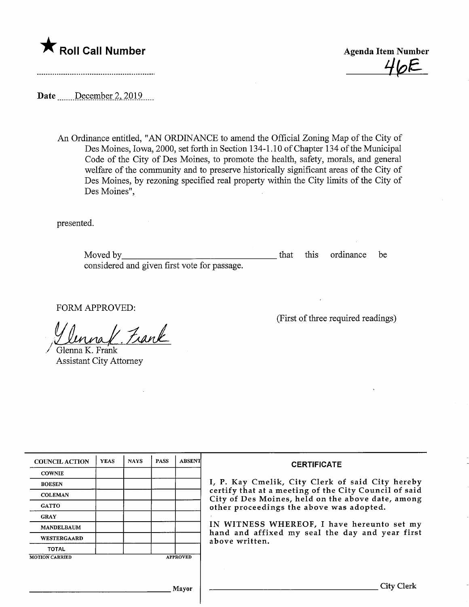## $\bigstar$  Roll Call Number

Agenda Item Number  $46E$ 

(First of three required readings)

Date .......December 2, 2019....

An Ordinance entitled, "AN ORDINANCE to amend the Official Zoning Map of the City of Des Moines, Iowa, 2000, set forth in Section 134-1.10 of Chapter 134 of the Municipal Code of the City of Des Moines, to promote the health, safety, morals, and general welfare of the community and to preserve historically significant areas of the City of Des Moines, by rezoning specified real property within the City limits of the City of Des Moines",

presented.

Moved by considered and given first vote for passage. that this ordinance be

FORM APPROVED:

1. Frank

Glenna K. Frank Assistant City Attorney

| <b>COUNCIL ACTION</b>                    | <b>YEAS</b> | <b>NAYS</b> | <b>PASS</b> | <b>ABSENT</b> | <b>CERTIFICATE</b><br>I, P. Kay Cmelik, City Clerk of said City hereby<br>certify that at a meeting of the City Council of said<br>City of Des Moines, held on the above date, among<br>other proceedings the above was adopted.<br>IN WITNESS WHEREOF, I have hereunto set my<br>hand and affixed my seal the day and year first<br>above written. |
|------------------------------------------|-------------|-------------|-------------|---------------|-----------------------------------------------------------------------------------------------------------------------------------------------------------------------------------------------------------------------------------------------------------------------------------------------------------------------------------------------------|
| <b>COWNIE</b>                            |             |             |             |               |                                                                                                                                                                                                                                                                                                                                                     |
| <b>BOESEN</b>                            |             |             |             |               |                                                                                                                                                                                                                                                                                                                                                     |
| <b>COLEMAN</b>                           |             |             |             |               |                                                                                                                                                                                                                                                                                                                                                     |
| <b>GATTO</b>                             |             |             |             |               |                                                                                                                                                                                                                                                                                                                                                     |
| <b>GRAY</b>                              |             |             |             |               |                                                                                                                                                                                                                                                                                                                                                     |
| <b>MANDELBAUM</b>                        |             |             |             |               |                                                                                                                                                                                                                                                                                                                                                     |
| <b>WESTERGAARD</b>                       |             |             |             |               |                                                                                                                                                                                                                                                                                                                                                     |
| <b>TOTAL</b>                             |             |             |             |               |                                                                                                                                                                                                                                                                                                                                                     |
| <b>APPROVED</b><br><b>MOTION CARRIED</b> |             |             |             |               |                                                                                                                                                                                                                                                                                                                                                     |
|                                          |             |             |             |               |                                                                                                                                                                                                                                                                                                                                                     |
|                                          |             |             |             | Mayor         | City Clerk                                                                                                                                                                                                                                                                                                                                          |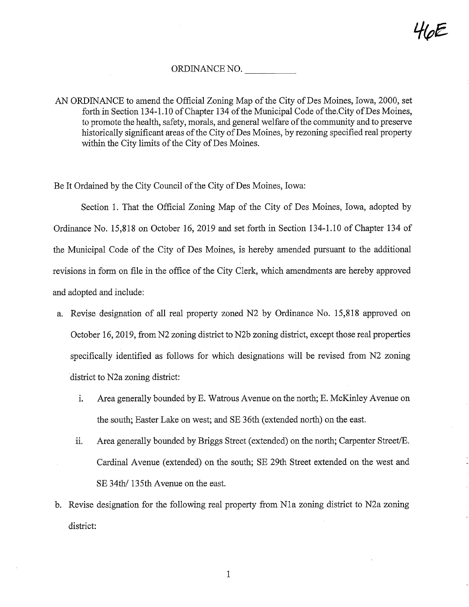HoE

## ORDINANCE NO.

Be It Ordained by the City Council of the City of Des Moines, Iowa:

Section 1. That the Official Zoning Map of the City of Des Moines, Iowa, adopted by Ordinance No. 15,818 on October 16, 2019 and set forth in Section 134-1.10 of Chapter 134 of the Municipal Code of the City of Des Moines, is hereby amended pursuant to the additional revisions in form on file in the office of the City Clerk, which amendments are hereby approved and adopted and include:

- a. Revise designation of all real property zoned N2 by Ordinance No. 15,818 approved on October 16,2019, from N2 zoning district to N2b zoning district, except those real properties specifically identified as follows for which designations will be revised from N2 zoning district to N2a zoning district:
	- i. Area generally bounded by E. Watrous Avenue on the north; E. McKinley Avenue on the south; Easter Lake on west; and SE 36th (extended north) on the east.
	- ii. Area generally bounded by Briggs Street (extended) on the north; Carpenter Street/E. Cardinal Avenue (extended) on the south; SE 29th Street extended on the west and SE 34th/ 135th Avenue on the east.
- b. Revise designation for the following real property from Nla zoning district to N2a zoning district:

AN ORDINANCE to amend the Official Zoning Map of the City of Des Moines, Iowa, 2000, set forth in Section 134-1.10 of Chapter 134 of the Municipal Code of the City of Des Moines, to promote the health, safety, morals, and general welfare of the community and to preserve historically significant areas of the City of Des Moines, by rezoning specified real property within the City limits of the City of Des Moines.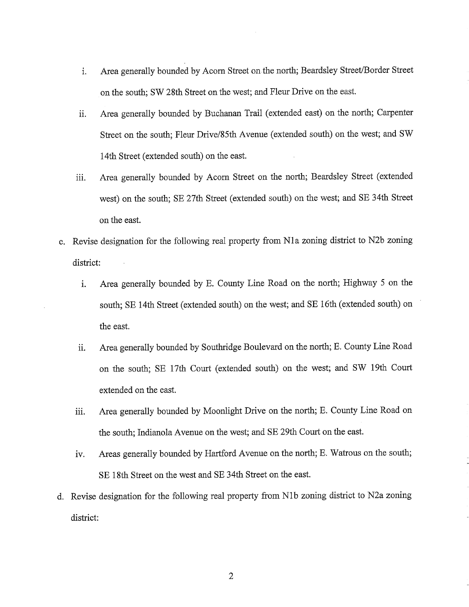- i. Area generally bounded by Acorn Street on the north; Beardsley Street/Border Street on the south; SW 28th Street on the west; and Fleur Drive on the east.
- ii. Area generally bounded by Buchanan Trail (extended east) on the north; Carpenter Street on the south; Fleur Drive/85th Avenue (extended south) on the west; and SW 14th Street (extended south) on the east.
- iii. Area generally bounded by Acorn Street on the north; Beardsley Street (extended west) on the south; SE 27th Street (extended south) on the west; and SE 34th Street on the east.
- c. Revise designation for the following real property from Nla zoning district to N2b zoning district:
	- i. Area generally bounded by E. County Line Road on the north; Highway 5 on the south; SE 14th Street (extended south) on the west; and SE 16th (extended south) on the east.
	- ii. Area generally bounded by Southridge Boulevard on the north; E. County Line Road on the south; SE 17th Court (extended south) on the west; and SW 19th Court extended on the east.
	- iii. Area generally bounded by Moonlight Drive on the north; E. County Line Road on the south; Indianola Avenue on the west; and SE 29th Court on the east.
	- iv. Areas generally bounded by Hartford Avenue on the north; E. Watrous on the south; SE 18th Street on the west and SE 34th Street on the east.
- d. Revise designation for the following real property from Nlb zoning district to N2a zoning district:

 $\mathbf{2}$